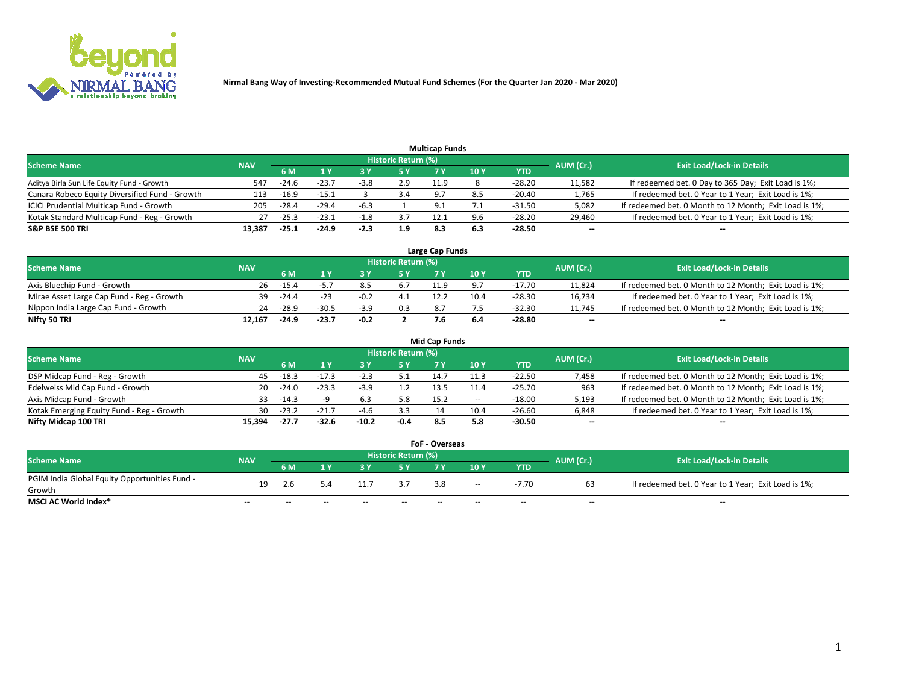

|                                                |            |         |         |        |                     | <b>Multicap Funds</b> |      |          |           |                                                        |
|------------------------------------------------|------------|---------|---------|--------|---------------------|-----------------------|------|----------|-----------|--------------------------------------------------------|
| <b>Scheme Name</b>                             | <b>NAV</b> |         |         |        | Historic Return (%) |                       |      |          | AUM (Cr.) | <b>Exit Load/Lock-in Details</b>                       |
|                                                |            | 6 M     |         |        | 5 Y                 | 7 <sup>o</sup>        | 10 Y | YTD      |           |                                                        |
| Aditya Birla Sun Life Equity Fund - Growth     | 547        | -24.6   | $-23.7$ | $-3.8$ | 2.9                 | 11.9                  |      | $-28.20$ | 11,582    | If redeemed bet. 0 Day to 365 Day; Exit Load is 1%;    |
| Canara Robeco Equity Diversified Fund - Growth | 113        | $-16.9$ | $-15.1$ |        | 3.4                 | $\circ$               |      | $-20.40$ | 1,765     | If redeemed bet. 0 Year to 1 Year; Exit Load is 1%;    |
| ICICI Prudential Multicap Fund - Growth        | 205        | $-28.4$ | $-29.4$ | -6.3   |                     | a.                    |      | $-31.50$ | 5,082     | If redeemed bet. 0 Month to 12 Month; Exit Load is 1%; |
| Kotak Standard Multicap Fund - Reg - Growth    | 27         | $-25.3$ | $-23.1$ | $-1.8$ | 3.7                 | 12.1                  | 9.6  | -28.20   | 29,460    | If redeemed bet. 0 Year to 1 Year; Exit Load is 1%;    |
| <b>S&amp;P BSE 500 TRI</b>                     | 13.387     | $-25.1$ | $-24.9$ | $-2.3$ | 1.9                 | 8.3                   | 6.3  | $-28.50$ | $\sim$    | $-$                                                    |

| Large Cap Funds                           |            |         |         |        |                     |      |      |        |           |                                                        |  |  |  |  |
|-------------------------------------------|------------|---------|---------|--------|---------------------|------|------|--------|-----------|--------------------------------------------------------|--|--|--|--|
| Scheme Name                               | <b>NAV</b> |         |         |        | Historic Return (%) |      |      |        | AUM (Cr.) | <b>Exit Load/Lock-in Details</b>                       |  |  |  |  |
|                                           |            | 6 M     |         |        | 5 Y                 |      | 10Y  | YTD    |           |                                                        |  |  |  |  |
| Axis Bluechip Fund - Growth               | 26         | $-15.4$ |         |        | 6.7                 |      |      | -17.70 | 11,824    | If redeemed bet. 0 Month to 12 Month; Exit Load is 1%; |  |  |  |  |
| Mirae Asset Large Cap Fund - Reg - Growth | 39         | -24.4   | -23     |        | 4.1                 | 12.2 | 10.4 | -28.30 | 16,734    | If redeemed bet. 0 Year to 1 Year; Exit Load is 1%;    |  |  |  |  |
| Nippon India Large Cap Fund - Growth      | 24         | $-28.9$ | $-30.5$ | $-3.9$ | 0.3                 |      |      | -32.30 | 11,745    | If redeemed bet. 0 Month to 12 Month; Exit Load is 1%; |  |  |  |  |
| Nifty 50 TRI                              | 12.167     | $-24.9$ | $-23.7$ | $-0.2$ |                     |      |      | -28.80 | $\sim$    | $\sim$                                                 |  |  |  |  |

|                                           |            |         |         |         |                     | <b>Mid Cap Funds</b> |        |            |           |                                                        |
|-------------------------------------------|------------|---------|---------|---------|---------------------|----------------------|--------|------------|-----------|--------------------------------------------------------|
| <b>Scheme Name</b>                        | <b>NAV</b> |         |         |         | Historic Return (%) |                      |        |            | AUM (Cr.) | <b>Exit Load/Lock-in Details</b>                       |
|                                           |            | 6 M     |         |         |                     |                      | 10Y    | <b>YTD</b> |           |                                                        |
| DSP Midcap Fund - Reg - Growth            | 45         | $-18.3$ |         |         |                     | 14.7                 | 11.3   | $-22.50$   | 7,458     | If redeemed bet. 0 Month to 12 Month; Exit Load is 1%; |
| Edelweiss Mid Cap Fund - Growth           | 20         | $-24.0$ | $-23.3$ | $-3.9$  |                     | 13.5                 |        | $-25.70$   | 963       | If redeemed bet. 0 Month to 12 Month; Exit Load is 1%; |
| Axis Midcap Fund - Growth                 | 33         | $-14.3$ |         |         | 5.8                 | 15.2                 | $\sim$ | $-18.00$   | 5,193     | If redeemed bet. 0 Month to 12 Month; Exit Load is 1%; |
| Kotak Emerging Equity Fund - Reg - Growth | 30         | $-23.2$ |         | $-4.6$  | 3.3                 | 14                   | 10.4   | $-26.60$   | 6,848     | If redeemed bet. 0 Year to 1 Year; Exit Load is 1%;    |
| Nifty Midcap 100 TRI                      | 15.394     | -27.7   | $-32.6$ | $-10.2$ | $-0.4$              | 8.5                  |        | -30.50     | $\sim$    |                                                        |

| <b>FoF - Overseas</b>                         |            |       |       |       |                            |       |       |            |           |                                                     |  |  |  |
|-----------------------------------------------|------------|-------|-------|-------|----------------------------|-------|-------|------------|-----------|-----------------------------------------------------|--|--|--|
| <b>Scheme Name</b>                            | <b>NAV</b> |       |       |       | <b>Historic Return (%)</b> |       |       |            | AUM (Cr.) | <b>Exit Load/Lock-in Details</b>                    |  |  |  |
|                                               |            | 6 M   |       |       |                            |       | 10Y   | <b>YTD</b> |           |                                                     |  |  |  |
| PGIM India Global Equity Opportunities Fund - | 19         | 2.6   |       |       |                            | 3.8   |       | -7.70      |           | If redeemed bet. 0 Year to 1 Year; Exit Load is 1%; |  |  |  |
| Growth                                        |            |       |       |       |                            |       | $- -$ |            |           |                                                     |  |  |  |
| <b>MSCI AC World Index*</b>                   | $- -$      | $- -$ | $- -$ | $- -$ | $- -$                      | $- -$ | $- -$ | --         | $- -$     | $- -$                                               |  |  |  |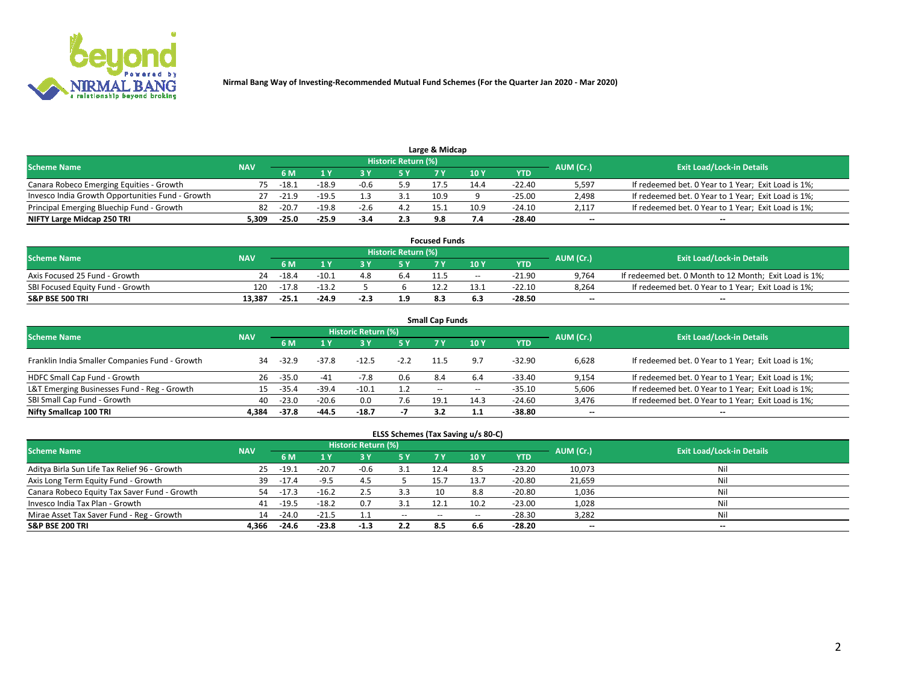

|                                                  |            |         |         |      | Historic Return (%) | Large & Midcap |      |            |                          |                                                     |
|--------------------------------------------------|------------|---------|---------|------|---------------------|----------------|------|------------|--------------------------|-----------------------------------------------------|
| <b>Scheme Name</b>                               | <b>NAV</b> | 5 M     |         |      | 5 Y                 |                | 10Y  | <b>YTD</b> | AUM (Cr.)                | <b>Exit Load/Lock-in Details</b>                    |
| Canara Robeco Emerging Equities - Growth         | 75.        | -18.1   | $-18.9$ | -0.6 | 5.9                 | 17.5           | 14.4 | -22.40     | 5,597                    | If redeemed bet. 0 Year to 1 Year; Exit Load is 1%; |
| Invesco India Growth Opportunities Fund - Growth |            | $-21.9$ | $-19.5$ |      |                     | 10.9           |      | -25.00     | 2,498                    | If redeemed bet. 0 Year to 1 Year; Exit Load is 1%; |
| Principal Emerging Bluechip Fund - Growth        | 82         | $-20.7$ | $-19.8$ | -2.6 |                     | 15.1           | 10.9 | $-24.10$   | 2,117                    | If redeemed bet. 0 Year to 1 Year; Exit Load is 1%; |
| NIFTY Large Midcap 250 TRI                       | 5.309      | $-25.0$ | $-25.9$ | -3.4 | 2.3                 |                |      | -28.40     | $\overline{\phantom{a}}$ | $- -$                                               |

| <b>Focused Funds</b>             |            |         |         |        |                     |      |       |          |           |                                                        |  |  |  |
|----------------------------------|------------|---------|---------|--------|---------------------|------|-------|----------|-----------|--------------------------------------------------------|--|--|--|
| <b>Scheme Name</b>               | <b>NAV</b> |         |         |        | Historic Return (%) |      |       |          | AUM (Cr.) | <b>Exit Load/Lock-in Details</b>                       |  |  |  |
|                                  |            | 6 M     |         |        |                     |      | 10 Y  | YTD      |           |                                                        |  |  |  |
| Axis Focused 25 Fund - Growth    | 24         | $-18.4$ | ⊥.10−   |        | b.4                 | 11.5 | $- -$ | $-21.90$ | 9,764     | If redeemed bet. 0 Month to 12 Month; Exit Load is 1%; |  |  |  |
| SBI Focused Equity Fund - Growth | 120        | $-17.8$ | $-13.7$ |        |                     |      | 13.1  | $-22.10$ | 8.264     | If redeemed bet. 0 Year to 1 Year; Exit Load is 1%;    |  |  |  |
| <b>S&amp;P BSE 500 TRI</b>       | 13.387     | $-25.1$ | $-24.9$ | $-2.3$ | 1.9                 |      |       | -28.50   | $\sim$    | $- -$                                                  |  |  |  |

|                                                |            |           |         |                     |        | <b>Small Cap Funds</b> |       |            |           |                                                     |
|------------------------------------------------|------------|-----------|---------|---------------------|--------|------------------------|-------|------------|-----------|-----------------------------------------------------|
| <b>Scheme Name</b>                             | <b>NAV</b> |           |         | Historic Return (%) |        |                        |       |            | AUM (Cr.) | <b>Exit Load/Lock-in Details</b>                    |
|                                                |            | <b>6M</b> |         |                     | 5 Y    | 7 Y                    | 10Y   | <b>YTD</b> |           |                                                     |
| Franklin India Smaller Companies Fund - Growth | 34         | $-32.9$   | $-37.8$ | $-12.5$             | $-2.2$ | 11.5                   | 9.7   | $-32.90$   | 6.628     | If redeemed bet. 0 Year to 1 Year; Exit Load is 1%; |
| HDFC Small Cap Fund - Growth                   | 26         | $-35.0$   | -41     | -7.8                | 0.6    | 8.4                    | 6.4   | $-33.40$   | 9,154     | If redeemed bet. 0 Year to 1 Year; Exit Load is 1%; |
| L&T Emerging Businesses Fund - Reg - Growth    | 15.        | $-35.4$   | $-39.4$ | $-10.1$             | 1.2    | $-$                    | $- -$ | $-35.10$   | 5,606     | If redeemed bet. 0 Year to 1 Year; Exit Load is 1%; |
| SBI Small Cap Fund - Growth                    | 40         | $-23.0$   | $-20.6$ | 0.0                 | 7.6    | 19.1                   | 14.3  | -24.60     | 3,476     | If redeemed bet. 0 Year to 1 Year; Exit Load is 1%; |
| Nifty Smallcap 100 TRI                         | 4.384      | $-37.8$   | $-44.5$ | $-18.7$             | - 1    |                        |       | -38.80     | $\sim$    | $- -$                                               |

## **ELSS Schemes (Tax Saving u/s 80-C)**

| <b>Scheme Name</b>                           | <b>NAV</b> |         |         | <b>Historic Return (%)</b> |       |      |      |          | AUM (Cr.) | <b>Exit Load/Lock-in Details</b> |
|----------------------------------------------|------------|---------|---------|----------------------------|-------|------|------|----------|-----------|----------------------------------|
|                                              |            | 6 M     | 1 Y     |                            | 5 Y   | 7 V  | 10 Y | YTD      |           |                                  |
| Aditya Birla Sun Life Tax Relief 96 - Growth | 25         | $-19.1$ | $-20.7$ | $-0.6$                     |       | 12.4 | 8.5  | $-23.20$ | 10,073    | Nil                              |
| Axis Long Term Equity Fund - Growth          | 39         | $-17.4$ | $-9.5$  |                            |       |      | 13.7 | $-20.80$ | 21,659    | Nil                              |
| Canara Robeco Equity Tax Saver Fund - Growth | 54         | -17.3   | $-16.2$ |                            | 3.3   | 10   | 8.8  | $-20.80$ | 1,036     | Nil                              |
| Invesco India Tax Plan - Growth              | 41         | $-19.5$ | $-18.2$ | 0.7                        |       | 12.1 | 10.2 | $-23.00$ | 1,028     | Nil                              |
| Mirae Asset Tax Saver Fund - Reg - Growth    | 14         | $-24.0$ | $-21.5$ |                            | $- -$ | $-$  |      | $-28.30$ | 3,282     | Nil                              |
| <b>S&amp;P BSE 200 TRI</b>                   | 4.366      | $-24.6$ | $-23.8$ | $-1.3$                     | 2.2   |      | 6.6  | $-28.20$ | $\sim$    | $- -$                            |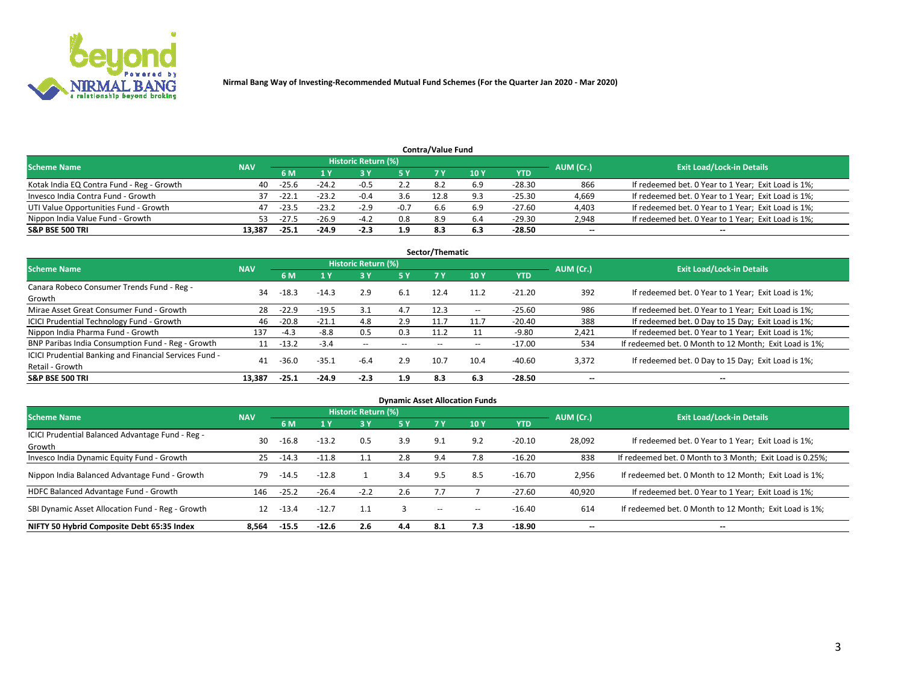

|                                           |            |         |         |                     |        | <b>Contra/Value Fund</b> |     |          |           |                                                     |
|-------------------------------------------|------------|---------|---------|---------------------|--------|--------------------------|-----|----------|-----------|-----------------------------------------------------|
| <b>Scheme Name</b>                        | <b>NAV</b> |         |         | Historic Return (%) |        |                          |     |          | AUM (Cr.) | <b>Exit Load/Lock-in Details</b>                    |
|                                           |            | 6 M     |         |                     | 5 Y    | 7 V                      | 10Y | YTD      |           |                                                     |
| Kotak India EQ Contra Fund - Reg - Growth | 40         | $-25.6$ | $-24.2$ | $-0.5$              |        | 8.ż                      | 6.9 | -28.30   | 866       | If redeemed bet. 0 Year to 1 Year; Exit Load is 1%; |
| Invesco India Contra Fund - Growth        | 37         | $-22.1$ | $-23.2$ | $-0.4$              | 3.6    | 12.8                     |     | $-25.30$ | 4,669     | If redeemed bet. 0 Year to 1 Year; Exit Load is 1%; |
| UTI Value Opportunities Fund - Growth     | 47         | $-23.5$ | $-23.2$ | $-2.9$              | $-0.7$ | 6.6                      | 6.9 | -27.60   | 4,403     | If redeemed bet. 0 Year to 1 Year; Exit Load is 1%; |
| Nippon India Value Fund - Growth          | 53.        | $-27.5$ | $-26.9$ | -4.2                | 0.8    | 8.9                      | 6.4 | -29.30   | 2,948     | If redeemed bet. 0 Year to 1 Year; Exit Load is 1%; |
| <b>S&amp;P BSE 500 TRI</b>                | 13.387     | $-25.1$ | $-24.9$ | $-2.3$              | 1.9    | 8.3                      | 6.3 | -28.50   | $\sim$    | $- -$                                               |

| Sector/Thematic                                                           |            |         |                |                     |       |       |                          |            |                          |                                                        |  |  |  |
|---------------------------------------------------------------------------|------------|---------|----------------|---------------------|-------|-------|--------------------------|------------|--------------------------|--------------------------------------------------------|--|--|--|
| <b>Scheme Name</b>                                                        | <b>NAV</b> |         |                | Historic Return (%) |       |       |                          |            | AUM (Cr.)                | <b>Exit Load/Lock-in Details</b>                       |  |  |  |
|                                                                           |            | 6 M     | 1 <sub>Y</sub> | <b>3 Y</b>          | 15 Y  | 7 Y   | 10Y                      | <b>YTD</b> |                          |                                                        |  |  |  |
| Canara Robeco Consumer Trends Fund - Reg -<br>Growth                      | 34         | $-18.3$ | $-14.3$        | 2.9                 | 6.1   | 12.4  | 11.2                     | $-21.20$   | 392                      | If redeemed bet. 0 Year to 1 Year; Exit Load is 1%;    |  |  |  |
| Mirae Asset Great Consumer Fund - Growth                                  | 28         | $-22.9$ | $-19.5$        | 3.1                 | 4.7   | 12.3  | $\overline{\phantom{a}}$ | $-25.60$   | 986                      | If redeemed bet. 0 Year to 1 Year; Exit Load is 1%;    |  |  |  |
| ICICI Prudential Technology Fund - Growth                                 | 46         | $-20.8$ | $-21.1$        | 4.8                 | 2.9   | 11.7  |                          | $-20.40$   | 388                      | If redeemed bet. 0 Day to 15 Day; Exit Load is 1%;     |  |  |  |
| Nippon India Pharma Fund - Growth                                         | 137        | $-4.3$  | $-8.8$         | 0.5                 | 0.3   | 11.2  |                          | $-9.80$    | 2.421                    | If redeemed bet. 0 Year to 1 Year; Exit Load is 1%;    |  |  |  |
| BNP Paribas India Consumption Fund - Reg - Growth                         | 11         | $-13.2$ | $-3.4$         | $- -$               | $- -$ | $- -$ |                          | $-17.00$   | 534                      | If redeemed bet. 0 Month to 12 Month; Exit Load is 1%; |  |  |  |
| ICICI Prudential Banking and Financial Services Fund -<br>Retail - Growth | 41         | $-36.0$ | $-35.1$        | $-6.4$              | 2.9   | 10.7  | 10.4                     | $-40.60$   | 3,372                    | If redeemed bet. 0 Day to 15 Day; Exit Load is 1%;     |  |  |  |
| <b>S&amp;P BSE 500 TRI</b>                                                | 13,387     | $-25.1$ | $-24.9$        | $-2.3$              | 1.9   | 8.3   | 6.3                      | $-28.50$   | $\overline{\phantom{a}}$ | $- -$                                                  |  |  |  |

|                                                            |            |         |         |                     |     |                          | <b>Dynamic Asset Allocation Funds</b> |            |           |                                                          |
|------------------------------------------------------------|------------|---------|---------|---------------------|-----|--------------------------|---------------------------------------|------------|-----------|----------------------------------------------------------|
| <b>Scheme Name</b>                                         | <b>NAV</b> |         |         | Historic Return (%) |     |                          |                                       |            | AUM (Cr.) | <b>Exit Load/Lock-in Details</b>                         |
|                                                            |            | 6 M     | 1 Y     | 73 Y                | 5 Y |                          | 10Y                                   | <b>YTD</b> |           |                                                          |
| ICICI Prudential Balanced Advantage Fund - Reg -<br>Growth | 30         | $-16.8$ | $-13.2$ | 0.5                 | 3.9 | 9.1                      | 9.2                                   | $-20.10$   | 28,092    | If redeemed bet. 0 Year to 1 Year; Exit Load is 1%;      |
| Invesco India Dynamic Equity Fund - Growth                 | 25         | -14.3   | $-11.8$ | $1.1\,$             | 2.8 | 9.4                      | 7.8                                   | $-16.20$   | 838       | If redeemed bet. 0 Month to 3 Month; Exit Load is 0.25%; |
| Nippon India Balanced Advantage Fund - Growth              | 79         | -14.5   | $-12.8$ |                     | 3.4 | 9.5                      | 8.5                                   | $-16.70$   | 2,956     | If redeemed bet. 0 Month to 12 Month; Exit Load is 1%;   |
| HDFC Balanced Advantage Fund - Growth                      | 146        | $-25.2$ | $-26.4$ | $-2.2$              | 2.6 | 7.7                      |                                       | $-27.60$   | 40,920    | If redeemed bet. 0 Year to 1 Year; Exit Load is 1%;      |
| SBI Dynamic Asset Allocation Fund - Reg - Growth           | 12         | $-13.4$ | $-12.7$ | 1.1                 |     | $\overline{\phantom{a}}$ | $\overline{\phantom{a}}$              | $-16.40$   | 614       | If redeemed bet. 0 Month to 12 Month; Exit Load is 1%;   |
| NIFTY 50 Hybrid Composite Debt 65:35 Index                 | 8.564      | $-15.5$ | $-12.6$ | 2.6                 | 4.4 | 8.1                      | 7.3                                   | $-18.90$   | --        | --                                                       |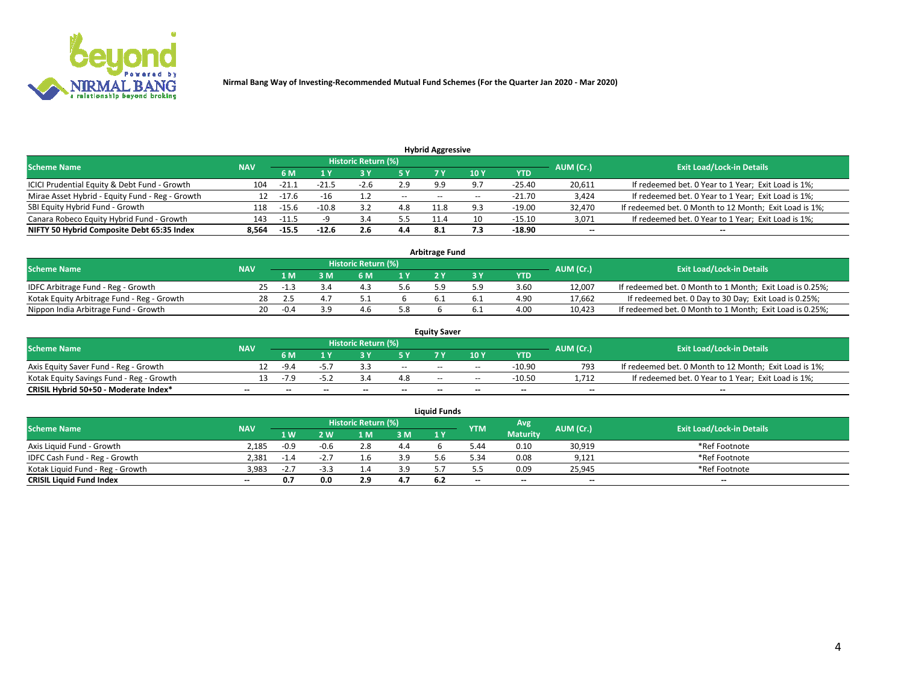

| <b>Hybrid Aggressive</b>                        |            |         |         |                     |               |                          |       |            |           |                                                        |  |  |  |
|-------------------------------------------------|------------|---------|---------|---------------------|---------------|--------------------------|-------|------------|-----------|--------------------------------------------------------|--|--|--|
| <b>Scheme Name</b>                              | <b>NAV</b> |         |         | Historic Return (%) |               |                          |       |            | AUM (Cr.) | <b>Exit Load/Lock-in Details</b>                       |  |  |  |
|                                                 |            | 6 M     |         |                     |               |                          | 10 Y  | <b>YTD</b> |           |                                                        |  |  |  |
| ICICI Prudential Equity & Debt Fund - Growth    | 104        | $-21.1$ | $-21.5$ | -2.6                | 2.9           | 9.9                      | 97    | $-25.40$   | 20,611    | If redeemed bet. 0 Year to 1 Year; Exit Load is 1%;    |  |  |  |
| Mirae Asset Hybrid - Equity Fund - Reg - Growth | 12         | $-17.6$ | $-16$   |                     | $\sim$ $\sim$ | $\overline{\phantom{m}}$ | $- -$ | $-21.70$   | 3,424     | If redeemed bet. 0 Year to 1 Year; Exit Load is 1%;    |  |  |  |
| SBI Equity Hybrid Fund - Growth                 | 118        | $-15.6$ | $-10.8$ | 3.2                 | 4.8           | 11.8                     |       | $-19.00$   | 32,470    | If redeemed bet. 0 Month to 12 Month; Exit Load is 1%; |  |  |  |
| Canara Robeco Equity Hybrid Fund - Growth       | 143        | $-11.5$ |         | 3.4                 | 5.5           | 11.4                     |       | $-15.10$   | 3,071     | If redeemed bet. 0 Year to 1 Year; Exit Load is 1%;    |  |  |  |
| NIFTY 50 Hybrid Composite Debt 65:35 Index      | 8.564      | $-15.5$ | $-12.6$ | 2.6                 | 4.4           | 8.1                      |       | $-18.90$   | $\sim$    | $- -$                                                  |  |  |  |

|                                            |            |           |                                  |     |     | <b>Arbitrage Fund</b> |      |        |                                                          |
|--------------------------------------------|------------|-----------|----------------------------------|-----|-----|-----------------------|------|--------|----------------------------------------------------------|
| Scheme Name                                | <b>NAV</b> | AUM (Cr.) | <b>Exit Load/Lock-in Details</b> |     |     |                       |      |        |                                                          |
|                                            |            | 1 M       | ያ M                              | 6 M |     |                       | YTD  |        |                                                          |
| IDFC Arbitrage Fund - Reg - Growth         | 25         | -13       |                                  |     | 5.6 | ς α                   | 3.60 | 12,007 | If redeemed bet. 0 Month to 1 Month; Exit Load is 0.25%; |
| Kotak Equity Arbitrage Fund - Reg - Growth | 28.        |           |                                  |     |     |                       | 4.90 | 17,662 | If redeemed bet. 0 Day to 30 Day; Exit Load is 0.25%;    |
| Nippon India Arbitrage Fund - Growth       | 20         | $-0.4$    |                                  |     | 5.8 |                       | 4.00 | 10.423 | If redeemed bet. 0 Month to 1 Month; Exit Load is 0.25%; |

|                                          |            |           |                                  |                          |                          | <b>Equity Saver</b> |               |            |                          |                                                        |
|------------------------------------------|------------|-----------|----------------------------------|--------------------------|--------------------------|---------------------|---------------|------------|--------------------------|--------------------------------------------------------|
| Scheme Name                              | <b>NAV</b> | AUM (Cr.) | <b>Exit Load/Lock-in Details</b> |                          |                          |                     |               |            |                          |                                                        |
|                                          |            | 6 M       |                                  |                          | 5 Y                      |                     | $\sqrt{10}$ Y | <b>YTD</b> |                          |                                                        |
| Axis Equity Saver Fund - Reg - Growth    |            | $-9.4$    | $-5.7$                           |                          | $\sim$                   | $- -$               | $\sim$        | $-10.90$   | 793                      | If redeemed bet. 0 Month to 12 Month; Exit Load is 1%; |
| Kotak Equity Savings Fund - Reg - Growth |            | $-7.9$    | -5.Z                             |                          | 4.8                      | $- -$               | $- -$         | -10.50     | 1.712                    | If redeemed bet. 0 Year to 1 Year; Exit Load is 1%;    |
| CRISIL Hybrid 50+50 - Moderate Index*    |            | $- -$     | $-$                              | $\overline{\phantom{a}}$ | $\overline{\phantom{a}}$ | $\sim$              | --            | $- -$      | $\overline{\phantom{a}}$ | $- -$                                                  |

| <b>Liquid Funds</b>              |            |        |        |                            |     |     |            |                 |           |                                  |  |  |  |
|----------------------------------|------------|--------|--------|----------------------------|-----|-----|------------|-----------------|-----------|----------------------------------|--|--|--|
| <b>Scheme Name</b>               | <b>NAV</b> |        |        | <b>Historic Return (%)</b> |     |     | <b>YTM</b> | Avg             | AUM (Cr.) | <b>Exit Load/Lock-in Details</b> |  |  |  |
|                                  |            | 1 W.   | 2 W    | L M                        | 3M  | 1 Y |            | <b>Maturity</b> |           |                                  |  |  |  |
| Axis Liquid Fund - Growth        | 2,185      | $-0.9$ | $-0.6$ | 2.8                        | 4.4 |     | 5.44       | 0.10            | 30,919    | *Ref Footnote                    |  |  |  |
| IDFC Cash Fund - Reg - Growth    | 2.381      | $-1.4$ | -2.    |                            | 3.9 |     | 5.34       | 0.08            | 9,121     | *Ref Footnote                    |  |  |  |
| Kotak Liguid Fund - Reg - Growth | 3.983      | -2.7   |        |                            | 3.9 |     |            | 0.09            | 25,945    | *Ref Footnote                    |  |  |  |
| <b>CRISIL Liquid Fund Index</b>  | $\sim$     | v.,    | 0.0    | 2.9                        | 4.7 |     | $-$        | $-$             | $\sim$    | $\overline{\phantom{a}}$         |  |  |  |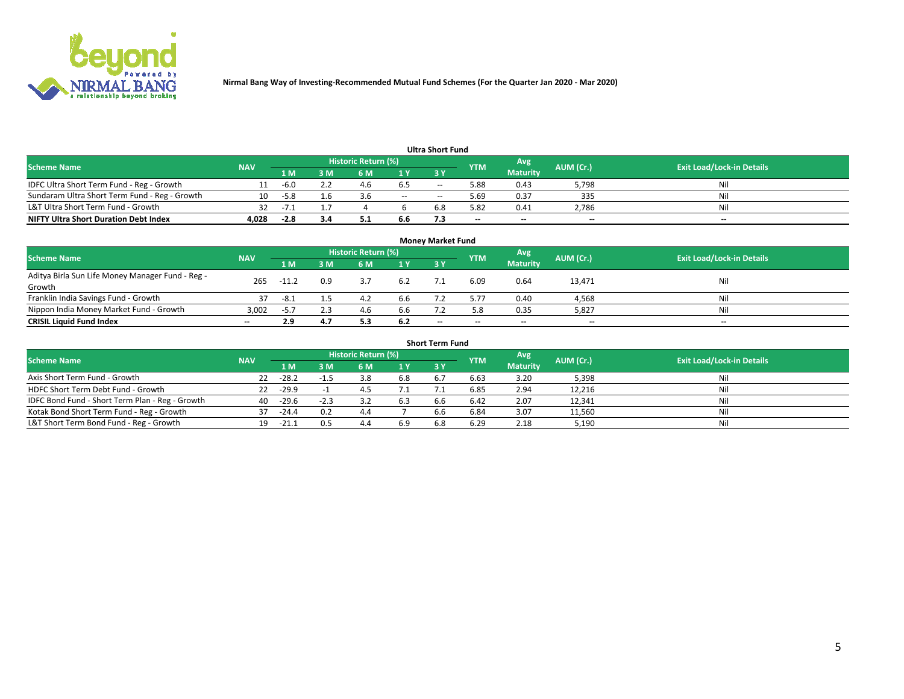

|                                               |            |        |     |                     |       | <b>Ultra Short Fund</b> |            |                 |           |                                  |
|-----------------------------------------------|------------|--------|-----|---------------------|-------|-------------------------|------------|-----------------|-----------|----------------------------------|
| <b>Scheme Name</b>                            | <b>NAV</b> |        |     | Historic Return (%) |       |                         | <b>YTM</b> | Avg             | AUM (Cr.) | <b>Exit Load/Lock-in Details</b> |
|                                               |            | 1 M    | 3 M | 6 M                 | 1 Y   | <b>3 Y</b>              |            | <b>Maturity</b> |           |                                  |
| IDFC Ultra Short Term Fund - Reg - Growth     |            | -6.0   |     | 4.6                 | 6.5   | $- -$                   | 5.88       | 0.43            | 5,798     | Nil                              |
| Sundaram Ultra Short Term Fund - Reg - Growth | 10         | $-5.8$ | 1.6 |                     | $- -$ | --                      | 5.69       | 0.37            | 335       | Nil                              |
| L&T Ultra Short Term Fund - Growth            |            | $-1$   |     |                     |       | 6.8                     | 5.82       | 0.41            | 2,786     | Nil                              |
| <b>NIFTY Ultra Short Duration Debt Index</b>  | 4.028      | $-2.8$ | 3.4 | ـ .                 | 6.6   |                         | $\sim$     | $\sim$          | $\sim$    | $- -$                            |

| <b>Money Market Fund</b>                         |            |         |     |                     |     |                          |                          |                 |           |                                  |  |  |  |
|--------------------------------------------------|------------|---------|-----|---------------------|-----|--------------------------|--------------------------|-----------------|-----------|----------------------------------|--|--|--|
| <b>Scheme Name</b>                               | <b>NAV</b> |         |     | Historic Return (%) |     |                          | <b>YTM</b>               | 'Avg            | AUM (Cr.) | <b>Exit Load/Lock-in Details</b> |  |  |  |
|                                                  |            | 1 M     | 3 M | 6 M                 | 1 Y | 3Y                       |                          | <b>Maturity</b> |           |                                  |  |  |  |
| Aditya Birla Sun Life Money Manager Fund - Reg - | 265        | $-11.2$ | 0.9 |                     | 6.2 |                          | 6.09                     | 0.64            | 13,471    | Nil                              |  |  |  |
| Growth                                           |            |         |     |                     |     |                          |                          |                 |           |                                  |  |  |  |
| Franklin India Savings Fund - Growth             | 37         | $-8.1$  |     | 4.2                 | 6.6 |                          | 5.77                     | 0.40            | 4,568     | Nil                              |  |  |  |
| Nippon India Money Market Fund - Growth          | 3.002      | $-5.7$  | 2.3 | 4.6                 | 6.6 |                          | 5.8                      | 0.35            | 5,827     | Nil                              |  |  |  |
| <b>CRISIL Liquid Fund Index</b>                  | $- -$      | 2.9     | 4.7 |                     | 6.2 | $\overline{\phantom{a}}$ | $\overline{\phantom{a}}$ | $\sim$          | $\sim$    | $\sim$                           |  |  |  |

| <b>Short Term Fund</b>                          |            |         |        |                     |     |           |            |                 |           |                                  |  |  |  |  |
|-------------------------------------------------|------------|---------|--------|---------------------|-----|-----------|------------|-----------------|-----------|----------------------------------|--|--|--|--|
| <b>Scheme Name</b>                              | <b>NAV</b> |         |        | Historic Return (%) |     |           | <b>YTM</b> | Avg             | AUM (Cr.) | <b>Exit Load/Lock-in Details</b> |  |  |  |  |
|                                                 |            | 1 M     | 3 M    | 6 M                 | 1Y  | <b>3Y</b> |            | <b>Maturity</b> |           |                                  |  |  |  |  |
| Axis Short Term Fund - Growth                   | 22         | $-28.2$ |        |                     | 6.8 | 6.7       | 6.63       | 3.20            | 5,398     | Nil                              |  |  |  |  |
| HDFC Short Term Debt Fund - Growth              |            | $-29.9$ |        | 4.5                 |     |           | 6.85       | 2.94            | 12,216    | Nil                              |  |  |  |  |
| IDFC Bond Fund - Short Term Plan - Reg - Growth | 40         | $-29.6$ | $-2.3$ |                     | 6.3 | 6.6       | 6.42       | 2.07            | 12,341    | Nil                              |  |  |  |  |
| Kotak Bond Short Term Fund - Reg - Growth       | 37         | $-24.4$ | 0.2    | 4.4                 |     | 6.6       | 6.84       | 3.07            | 11,560    | Nil                              |  |  |  |  |
| L&T Short Term Bond Fund - Reg - Growth         | 19.        | $-21.1$ | 0.5    | 44                  | 6.9 |           | 6.29       | 2.18            | 5,190     | Nil                              |  |  |  |  |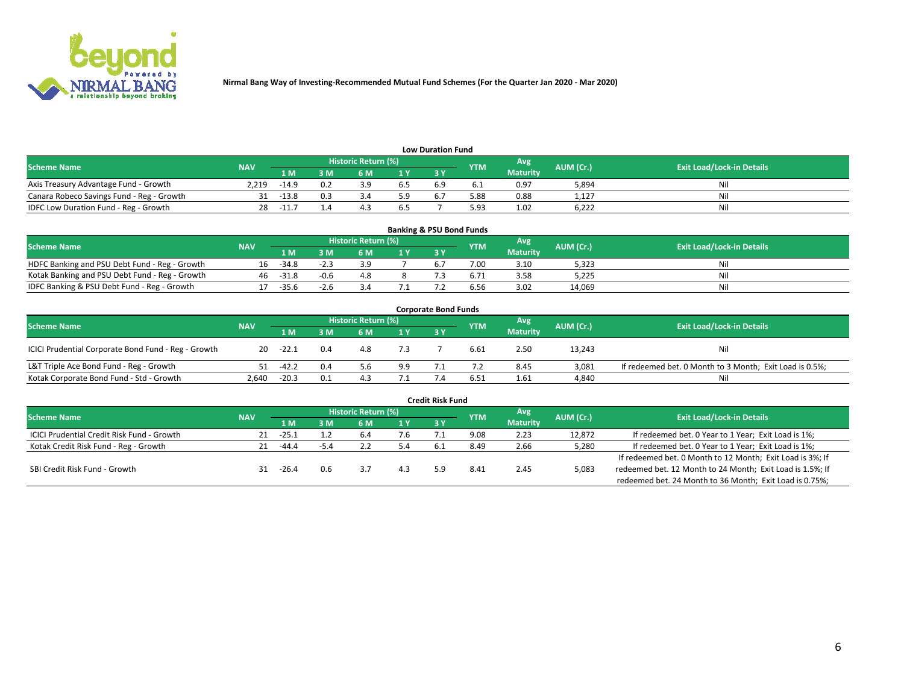

| <b>Low Duration Fund</b>                  |            |         |     |                            |     |     |            |                 |           |                                  |  |  |  |
|-------------------------------------------|------------|---------|-----|----------------------------|-----|-----|------------|-----------------|-----------|----------------------------------|--|--|--|
| <b>Scheme Name</b>                        | <b>NAV</b> |         |     | <b>Historic Return (%)</b> |     |     | <b>YTM</b> | Avg             | AUM (Cr.) | <b>Exit Load/Lock-in Details</b> |  |  |  |
|                                           |            | 1 M     | ያ M | 5 M                        | 1 V |     |            | <b>Maturity</b> |           |                                  |  |  |  |
| Axis Treasury Advantage Fund - Growth     | 2.219      | $-14.9$ | 0.2 |                            | 6.5 | b.5 |            | 0.97            | 5,894     | Nil                              |  |  |  |
| Canara Robeco Savings Fund - Reg - Growth |            | $-13.8$ |     |                            | 5.9 | 6.7 | 5.88       | 0.88            | 1,127     | Nil                              |  |  |  |
| IDFC Low Duration Fund - Reg - Growth     |            | $-11.7$ |     |                            |     |     | 5.93       | 1.02            | 6,222     | Nil                              |  |  |  |

| <b>Banking &amp; PSU Bond Funds</b>            |            |         |        |                            |  |           |            |                 |           |                                  |  |  |  |
|------------------------------------------------|------------|---------|--------|----------------------------|--|-----------|------------|-----------------|-----------|----------------------------------|--|--|--|
| <b>Scheme Name</b>                             | <b>NAV</b> |         |        | <b>Historic Return (%)</b> |  |           | <b>YTM</b> | Avg             | AUM (Cr.) | <b>Exit Load/Lock-in Details</b> |  |  |  |
|                                                |            | 1 M     | sм     | 6 M                        |  | <b>3Y</b> |            | <b>Maturity</b> |           |                                  |  |  |  |
| HDFC Banking and PSU Debt Fund - Reg - Growth  | 16         | -34.8   | $-2.3$ |                            |  |           | 7.00       | 3.10            | 5,323     | Ni                               |  |  |  |
| Kotak Banking and PSU Debt Fund - Reg - Growth | 46         | $-31.8$ | $-0.6$ | 4.8                        |  |           |            | 3.58            | 5,225     | Ni                               |  |  |  |
| IDFC Banking & PSU Debt Fund - Reg - Growth    |            | $-35.6$ | -4.t   |                            |  |           | 6.56       | 3.02            | 14.069    | Ni                               |  |  |  |

| <b>Corporate Bond Funds</b>                         |            |         |     |                     |     |    |            |                 |           |                                                         |  |  |  |
|-----------------------------------------------------|------------|---------|-----|---------------------|-----|----|------------|-----------------|-----------|---------------------------------------------------------|--|--|--|
| <b>Scheme Name</b>                                  | <b>NAV</b> |         |     | Historic Return (%) |     |    | <b>YTM</b> | Avg             | AUM (Cr.) | <b>Exit Load/Lock-in Details</b>                        |  |  |  |
|                                                     |            | 1 M     | : M | 6 M                 | 1 Y | 3Y |            | <b>Maturity</b> |           |                                                         |  |  |  |
| ICICI Prudential Corporate Bond Fund - Reg - Growth | 20         | -22.1   | 0.4 | 4.8                 | 7.3 |    | 6.61       | 2.50            | 13,243    | Nil                                                     |  |  |  |
| L&T Triple Ace Bond Fund - Reg - Growth             |            | $-42.2$ |     |                     | 9.9 |    |            | 8.45            | 3,081     | If redeemed bet. 0 Month to 3 Month; Exit Load is 0.5%; |  |  |  |
| Kotak Corporate Bond Fund - Std - Growth            | 2.640      | $-20.3$ | 0.1 | 4.3                 | 7.1 |    | 6.51       | 1.61            | 4,840     | Nil                                                     |  |  |  |

| <b>Credit Risk Fund</b>                           |            |         |     |                            |     |    |            |                 |           |                                                           |  |  |  |
|---------------------------------------------------|------------|---------|-----|----------------------------|-----|----|------------|-----------------|-----------|-----------------------------------------------------------|--|--|--|
| <b>Scheme Name</b>                                | <b>NAV</b> |         |     | <b>Historic Return (%)</b> |     |    | <b>YTM</b> | 'Avg            | AUM (Cr.) | <b>Exit Load/Lock-in Details</b>                          |  |  |  |
|                                                   |            | 1 M     | 3 M | 6 M                        | 1 Y | 3Y |            | <b>Maturity</b> |           |                                                           |  |  |  |
| <b>ICICI Prudential Credit Risk Fund - Growth</b> |            | $-25.1$ |     | -6.4                       | 7.6 |    | 9.08       | 2.23            | 12,872    | If redeemed bet. 0 Year to 1 Year; Exit Load is 1%;       |  |  |  |
| Kotak Credit Risk Fund - Reg - Growth             |            | -44.4   |     |                            |     |    | 8.49       | 2.66            | 5,280     | If redeemed bet. 0 Year to 1 Year; Exit Load is 1%;       |  |  |  |
|                                                   |            |         |     |                            |     |    |            |                 |           | If redeemed bet. 0 Month to 12 Month; Exit Load is 3%; If |  |  |  |
| SBI Credit Risk Fund - Growth                     |            | $-26.4$ | 0.6 |                            |     |    | 8.4        | 2.45            | 5,083     | redeemed bet. 12 Month to 24 Month; Exit Load is 1.5%; If |  |  |  |
|                                                   |            |         |     |                            |     |    |            |                 |           | redeemed bet. 24 Month to 36 Month; Exit Load is 0.75%;   |  |  |  |